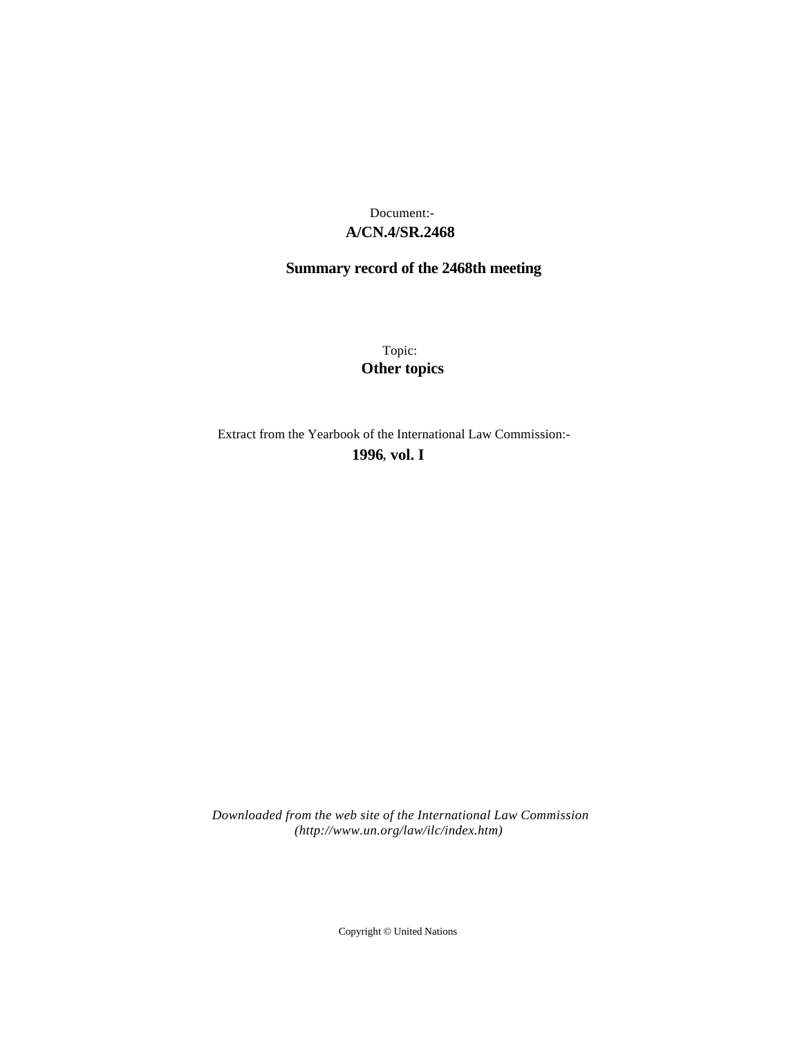# **A/CN.4/SR.2468** Document:-

# **Summary record of the 2468th meeting**

Topic: **Other topics**

Extract from the Yearbook of the International Law Commission:-

**1996** , **vol. I**

*Downloaded from the web site of the International Law Commission (http://www.un.org/law/ilc/index.htm)*

Copyright © United Nations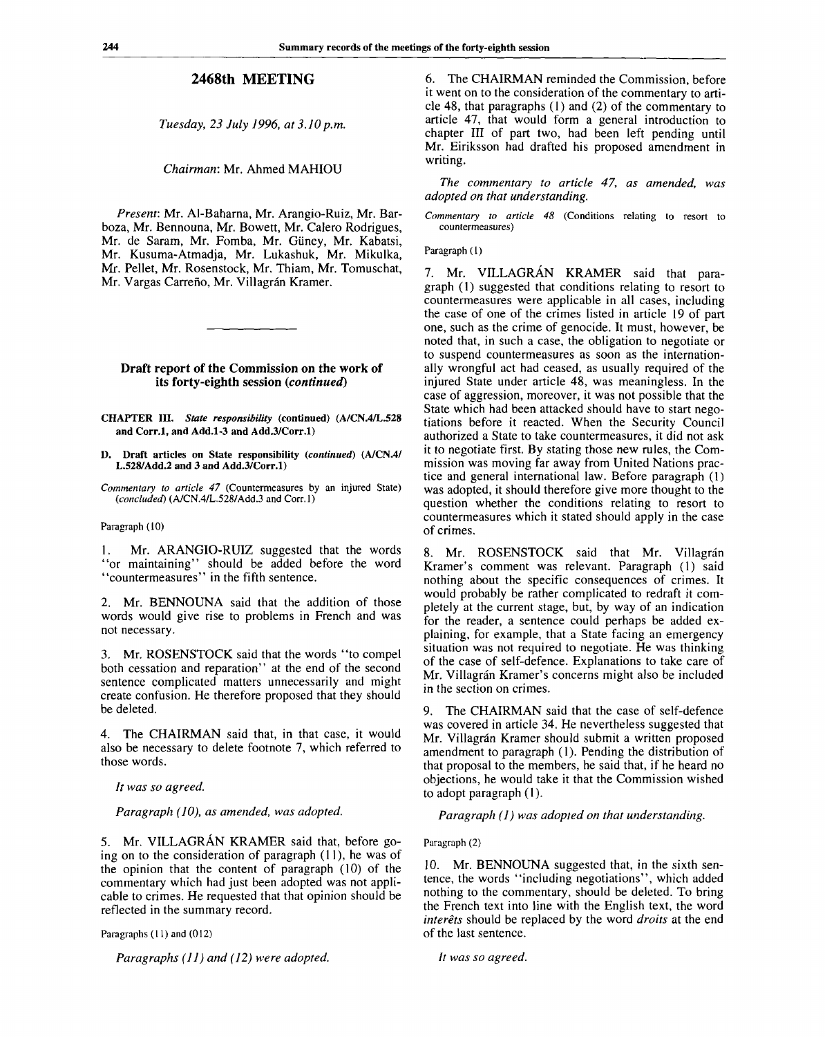## **2468th MEETING**

*Tuesday, 23 July 1996, at 3.10 p.m.*

*Chairman:* Mr. Ahmed MAHIOU

*Present:* Mr. Al-Baharna, Mr. Arangio-Ruiz, Mr. Barboza, Mr. Bennouna, Mr. Bowett, Mr. Calero Rodrigues, Mr. de Saram, Mr. Fomba, Mr. Giiney, Mr. Kabatsi, Mr. Kusuma-Atmadja, Mr. Lukashuk, Mr. Mikulka, Mr. Pellet, Mr. Rosenstock, Mr. Thiam, Mr. Tomuschat, Mr. Vargas Carreño, Mr. Villagrán Kramer.

#### **Draft report of the Commission on the work of its forty-eighth session** *(continued)*

**CHAPTER III.** *State responsibility* **(continued) (A/CN.4/L.528 and Corr.l, and Add.1-3 and Add.3/Corr.l)**

**D. Draft articles on State responsibility** *(continued)* **(A/CN.4/ L.528/Add.2 and 3 and Add.3/Corr.l)**

*Commentary to article 47* (Countermeasures by an injured State) *(concluded)* (A/CN.4/L.528/Add.3 and Corr.l)

#### Paragraph (10)

1. Mr. ARANGIO-RUIZ suggested that the words "or maintaining" should be added before the word "countermeasures" in the fifth sentence.

2. Mr. BENNOUNA said that the addition of those words would give rise to problems in French and was not necessary.

3. Mr. ROSENSTOCK said that the words "to compel both cessation and reparation" at the end of the second sentence complicated matters unnecessarily and might create confusion. He therefore proposed that they should be deleted.

4. The CHAIRMAN said that, in that case, it would also be necessary to delete footnote 7, which referred to those words.

*It was so agreed.*

*Paragraph (10), as amended, was adopted.*

5. Mr. VILLAGRAN KRAMER said that, before going on to the consideration of paragraph (11), he was of the opinion that the content of paragraph (10) of the commentary which had just been adopted was not applicable to crimes. He requested that that opinion should be reflected in the summary record.

Paragraphs (11) and (012)

*Paragraphs (11) and (12) were adopted.*

6. The CHAIRMAN reminded the Commission, before it went on to the consideration of the commentary to article 48, that paragraphs (1) and (2) of the commentary to article 47, that would form a general introduction to chapter III of part two, had been left pending until Mr. Eiriksson had drafted his proposed amendment in writing.

*The commentary to article 47, as amended, was adopted on that understanding.*

*Commentary to article 48* (Conditions relating to resort to countermeasures)

Paragraph (1)

7. Mr. VILLAGRÁN KRAMER said that paragraph (1) suggested that conditions relating to resort to countermeasures were applicable in all cases, including the case of one of the crimes listed in article 19 of part one, such as the crime of genocide. It must, however, be noted that, in such a case, the obligation to negotiate or to suspend countermeasures as soon as the internationally wrongful act had ceased, as usually required of the injured State under article 48, was meaningless. In the case of aggression, moreover, it was not possible that the State which had been attacked should have to start negotiations before it reacted. When the Security Council authorized a State to take countermeasures, it did not ask it to negotiate first. By stating those new rules, the Commission was moving far away from United Nations practice and general international law. Before paragraph (1) was adopted, it should therefore give more thought to the question whether the conditions relating to resort to countermeasures which it stated should apply in the case of crimes.

8. Mr. ROSENSTOCK said that Mr. Villagrán Kramer's comment was relevant. Paragraph (1) said nothing about the specific consequences of crimes. It would probably be rather complicated to redraft it completely at the current stage, but, by way of an indication for the reader, a sentence could perhaps be added explaining, for example, that a State facing an emergency situation was not required to negotiate. He was thinking of the case of self-defence. Explanations to take care of Mr. Villagrán Kramer's concerns might also be included in the section on crimes.

9. The CHAIRMAN said that the case of self-defence was covered in article 34. He nevertheless suggested that Mr. Villagrán Kramer should submit a written proposed amendment to paragraph (1). Pending the distribution of that proposal to the members, he said that, if he heard no objections, he would take it that the Commission wished to adopt paragraph (1).

*Paragraph (1) was adopted on that understanding.*

#### Paragraph (2)

10. Mr. BENNOUNA suggested that, in the sixth sentence, the words "including negotiations", which added nothing to the commentary, should be deleted. To bring the French text into line with the English text, the word *interets* should be replaced by the word *droits* at the end of the last sentence.

// *was so agreed.*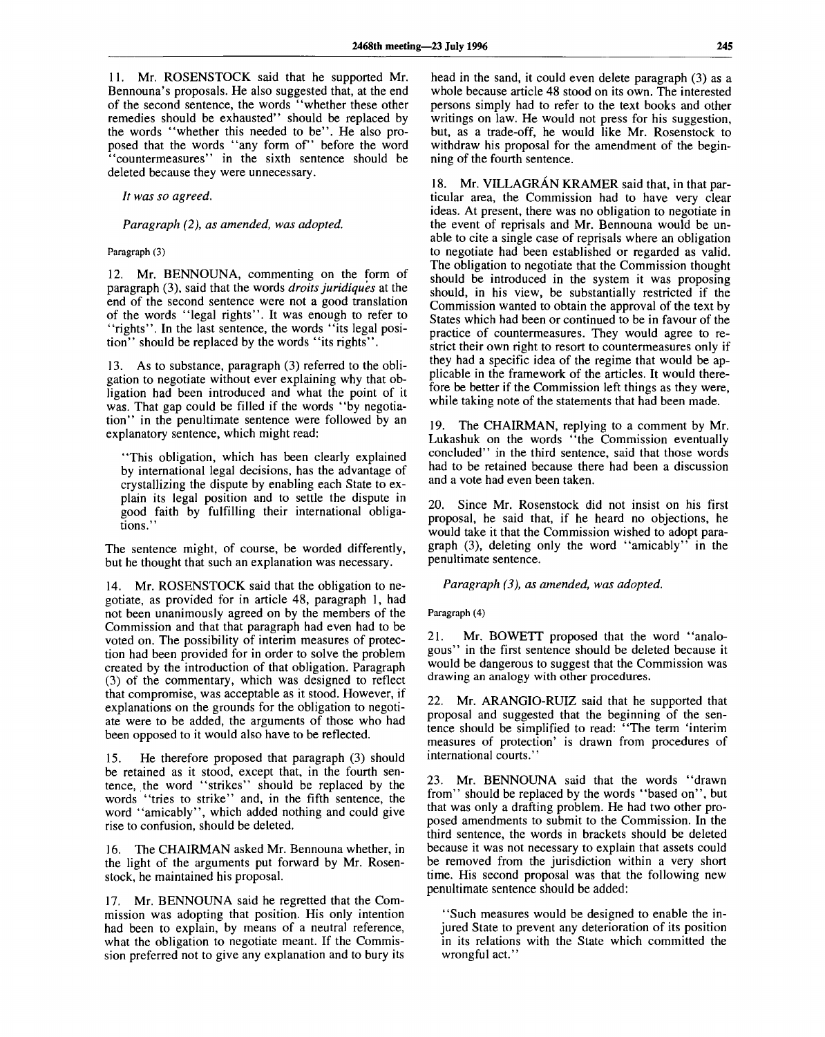11. Mr. ROSENSTOCK said that he supported Mr. Bennouna's proposals. He also suggested that, at the end of the second sentence, the words "whether these other remedies should be exhausted" should be replaced by the words "whether this needed to be". He also proposed that the words "any form of" before the word "countermeasures" in the sixth sentence should be deleted because they were unnecessary.

*It was so agreed.*

*Paragraph (2), as amended, was adopted.*

### **Paragraph (3)**

12. Mr. BENNOUNA, commenting on the form of paragraph (3), said that the words *droits juridiques* at the end of the second sentence were not a good translation of the words "legal rights". It was enough to refer to "rights". In the last sentence, the words "its legal position" should be replaced by the words "its rights".

13. As to substance, paragraph (3) referred to the obligation to negotiate without ever explaining why that obligation had been introduced and what the point of it was. That gap could be filled if the words "by negotiation" in the penultimate sentence were followed by an explanatory sentence, which might read:

"This obligation, which has been clearly explained by international legal decisions, has the advantage of crystallizing the dispute by enabling each State to explain its legal position and to settle the dispute in good faith by fulfilling their international obligations.'

The sentence might, of course, be worded differently, but he thought that such an explanation was necessary.

14. Mr. ROSENSTOCK said that the obligation to negotiate, as provided for in article 48, paragraph 1, had not been unanimously agreed on by the members of the Commission and that that paragraph had even had to be voted on. The possibility of interim measures of protection had been provided for in order to solve the problem created by the introduction of that obligation. Paragraph (3) of the commentary, which was designed to reflect that compromise, was acceptable as it stood. However, if explanations on the grounds for the obligation to negotiate were to be added, the arguments of those who had been opposed to it would also have to be reflected.

15. He therefore proposed that paragraph (3) should be retained as it stood, except that, in the fourth sentence, the word "strikes" should be replaced by the words "tries to strike" and, in the fifth sentence, the word "amicably", which added nothing and could give rise to confusion, should be deleted.

16. The CHAIRMAN asked Mr. Bennouna whether, in the light of the arguments put forward by Mr. Rosenstock, he maintained his proposal.

17. Mr. BENNOUNA said he regretted that the Commission was adopting that position. His only intention had been to explain, by means of a neutral reference, what the obligation to negotiate meant. If the Commission preferred not to give any explanation and to bury its

head in the sand, it could even delete paragraph (3) as a whole because article 48 stood on its own. The interested persons simply had to refer to the text books and other writings on law. He would not press for his suggestion, but, as a trade-off, he would like Mr. Rosenstock to withdraw his proposal for the amendment of the beginning of the fourth sentence.

18. Mr. VILLAGRÁN KRAMER said that, in that particular area, the Commission had to have very clear ideas. At present, there was no obligation to negotiate in the event of reprisals and Mr. Bennouna would be unable to cite a single case of reprisals where an obligation to negotiate had been established or regarded as valid. The obligation to negotiate that the Commission thought should be introduced in the system it was proposing should, in his view, be substantially restricted if the Commission wanted to obtain the approval of the text by States which had been or continued to be in favour of the practice of countermeasures. They would agree to restrict their own right to resort to countermeasures only if they had a specific idea of the regime that would be applicable in the framework of the articles. It would therefore be better if the Commission left things as they were, while taking note of the statements that had been made.

19. The CHAIRMAN, replying to a comment by Mr. Lukashuk on the words "the Commission eventually concluded" in the third sentence, said that those words had to be retained because there had been a discussion and a vote had even been taken.

20. Since Mr. Rosenstock did not insist on his first proposal, he said that, if he heard no objections, he would take it that the Commission wished to adopt paragraph (3), deleting only the word "amicably" in the penultimate sentence.

*Paragraph (3), as amended, was adopted.*

**Paragraph (4)**

21. Mr. BOWETT proposed that the word "analogous" in the first sentence should be deleted because it would be dangerous to suggest that the Commission was drawing an analogy with other procedures.

22. Mr. ARANGIO-RUIZ said that he supported that proposal and suggested that the beginning of the sentence should be simplified to read: "The term 'interim measures of protection' is drawn from procedures of international courts."

23. Mr. BENNOUNA said that the words "drawn from" should be replaced by the words "based on", but that was only a drafting problem. He had two other proposed amendments to submit to the Commission. In the third sentence, the words in brackets should be deleted because it was not necessary to explain that assets could be removed from the jurisdiction within a very short time. His second proposal was that the following new penultimate sentence should be added:

"Such measures would be designed to enable the injured State to prevent any deterioration of its position in its relations with the State which committed the wrongful act.'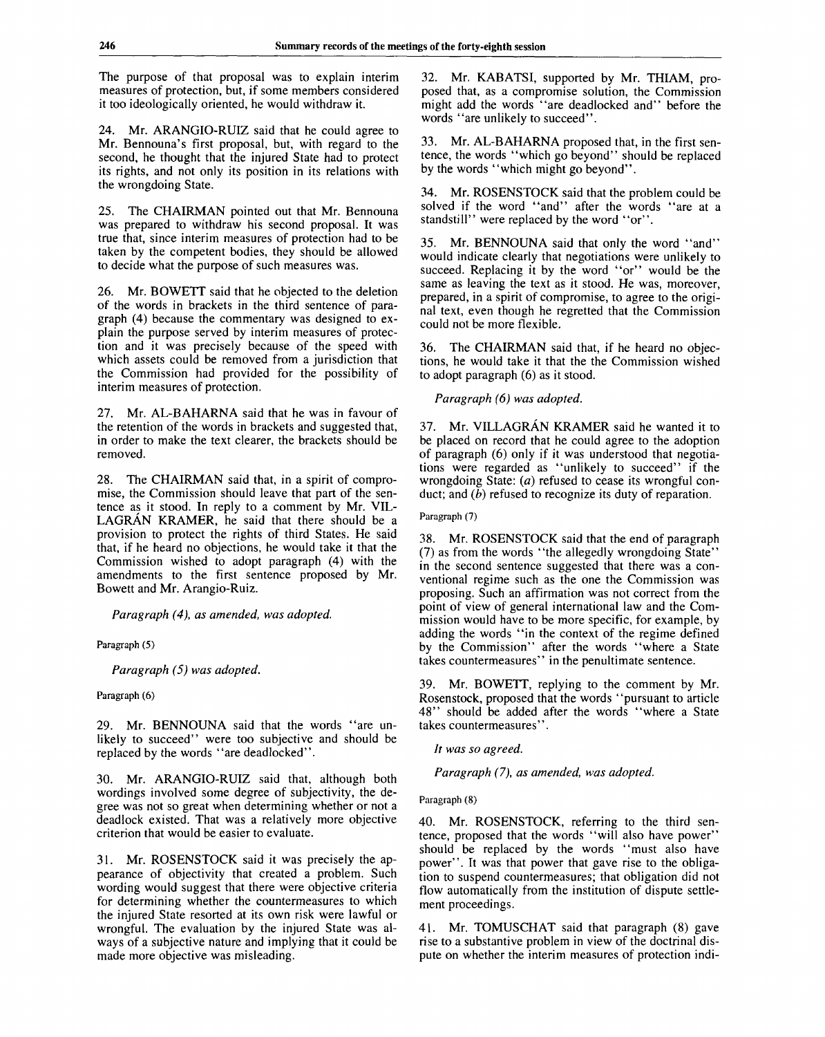The purpose of that proposal was to explain interim measures of protection, but, if some members considered it too ideologically oriented, he would withdraw it.

24. Mr. ARANGIO-RUIZ said that he could agree to Mr. Bennouna's first proposal, but, with regard to the second, he thought that the injured State had to protect its rights, and not only its position in its relations with the wrongdoing State.

25. The CHAIRMAN pointed out that Mr. Bennouna was prepared to withdraw his second proposal. It was true that, since interim measures of protection had to be taken by the competent bodies, they should be allowed to decide what the purpose of such measures was.

26. Mr. BOWETT said that he objected to the deletion of the words in brackets in the third sentence of paragraph (4) because the commentary was designed to explain the purpose served by interim measures of protection and it was precisely because of the speed with which assets could be removed from a jurisdiction that the Commission had provided for the possibility of interim measures of protection.

27. Mr. AL-BAHARNA said that he was in favour of the retention of the words in brackets and suggested that, in order to make the text clearer, the brackets should be removed.

28. The CHAIRMAN said that, in a spirit of compromise, the Commission should leave that part of the sentence as it stood. In reply to a comment by Mr. VIL-LAGRAN KRAMER, he said that there should be a provision to protect the rights of third States. He said that, if he heard no objections, he would take it that the Commission wished to adopt paragraph (4) with the amendments to the first sentence proposed by Mr. Bowett and Mr. Arangio-Ruiz.

*Paragraph (4), as amended, was adopted.*

Paragraph (5)

*Paragraph (5) was adopted.*

Paragraph (6)

29. Mr. BENNOUNA said that the words "are unlikely to succeed" were too subjective and should be replaced by the words "are deadlocked".

30. Mr. ARANGIO-RUIZ said that, although both wordings involved some degree of subjectivity, the degree was not so great when determining whether or not a deadlock existed. That was a relatively more objective criterion that would be easier to evaluate.

31. Mr. ROSENSTOCK said it was precisely the appearance of objectivity that created a problem. Such wording would suggest that there were objective criteria for determining whether the countermeasures to which the injured State resorted at its own risk were lawful or wrongful. The evaluation by the injured State was always of a subjective nature and implying that it could be made more objective was misleading.

32. Mr. KABATSI, supported by Mr. THIAM, proposed that, as a compromise solution, the Commission might add the words "are deadlocked and" before the words "are unlikely to succeed".

33. Mr. AL-BAHARNA proposed that, in the first sentence, the words "which go beyond" should be replaced by the words "which might go beyond".

34. Mr. ROSENSTOCK said that the problem could be solved if the word "and" after the words "are at a standstill" were replaced by the word "or".

35. Mr. BENNOUNA said that only the word "and" would indicate clearly that negotiations were unlikely to succeed. Replacing it by the word "or" would be the same as leaving the text as it stood. He was, moreover, prepared, in a spirit of compromise, to agree to the original text, even though he regretted that the Commission could not be more flexible.

36. The CHAIRMAN said that, if he heard no objections, he would take it that the the Commission wished to adopt paragraph (6) as it stood.

*Paragraph (6) was adopted.*

37. Mr. VILLAGRAN KRAMER said he wanted it to be placed on record that he could agree to the adoption of paragraph (6) only if it was understood that negotiations were regarded as "unlikely to succeed" if the wrongdoing State: *(a)* refused to cease its wrongful conduct; and *(b)* refused to recognize its duty of reparation.

Paragraph (7)

38. Mr. ROSENSTOCK said that the end of paragraph (7) as from the words "the allegedly wrongdoing State" in the second sentence suggested that there was a conventional regime such as the one the Commission was proposing. Such an affirmation was not correct from the point of view of general international law and the Commission would have to be more specific, for example, by adding the words "in the context of the regime defined by the Commission" after the words "where a State takes countermeasures" in the penultimate sentence.

39. Mr. BOWETT, replying to the comment by Mr. Rosenstock, proposed that the words "pursuant to article 48" should be added after the words "where a State takes countermeasures".

*It was so agreed.*

*Paragraph (7), as amended, was adopted.*

#### Paragraph (8)

40. Mr. ROSENSTOCK, referring to the third sentence, proposed that the words "will also have power" should be replaced by the words "must also have power". It was that power that gave rise to the obligation to suspend countermeasures; that obligation did not flow automatically from the institution of dispute settlement proceedings.

41. Mr. TOMUSCHAT said that paragraph (8) gave rise to a substantive problem in view of the doctrinal dispute on whether the interim measures of protection indi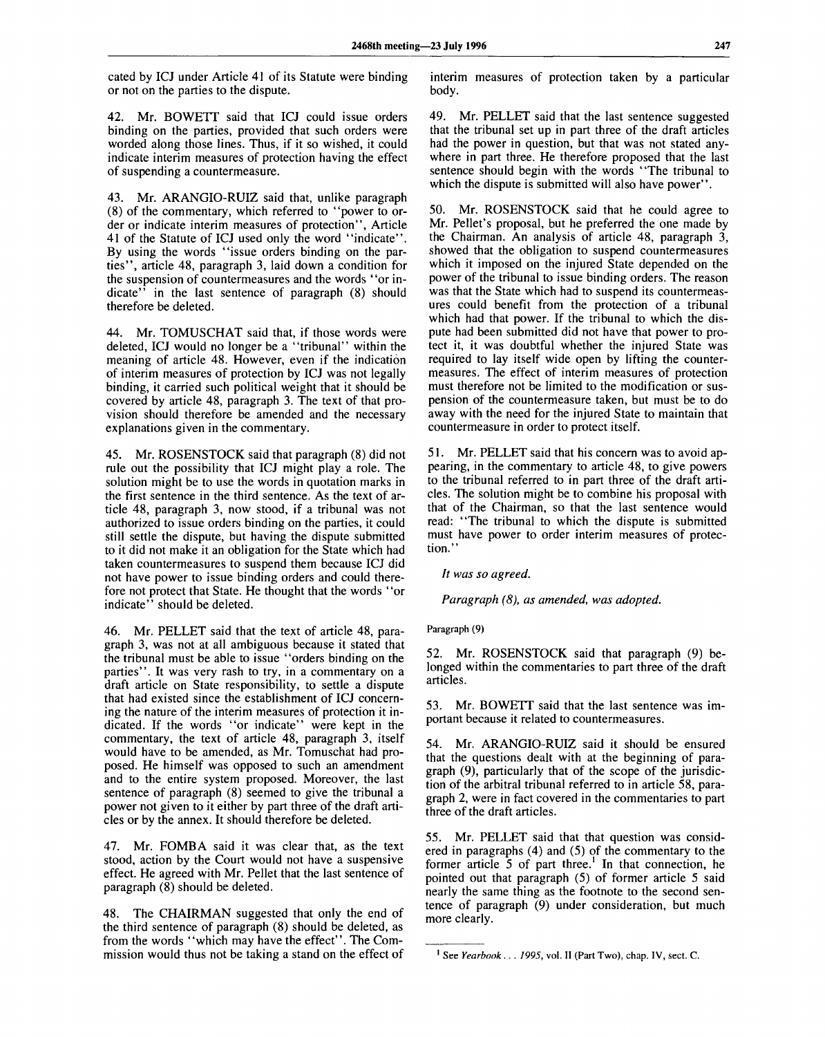cated by ICJ under Article 41 of its Statute were binding or not on the parties to the dispute.

42. Mr. BOWETT said that ICJ could issue orders binding on the parties, provided that such orders were worded along those lines. Thus, if it so wished, it could indicate interim measures of protection having the effect of suspending a countermeasure.

43. Mr. ARANGIO-RUIZ said that, unlike paragraph (8) of the commentary, which referred to "power to order or indicate interim measures of protection", Article 41 of the Statute of ICJ used only the word "indicate". By using the words "issue orders binding on the parties", article 48, paragraph 3, laid down a condition for the suspension of countermeasures and the words "or indicate" in the last sentence of paragraph (8) should therefore be deleted.

44. Mr. TOMUSCHAT said that, if those words were deleted, ICJ would no longer be a "tribunal" within the meaning of article 48. However, even if the indication of interim measures of protection by ICJ was not legally binding, it carried such political weight that it should be covered by article 48, paragraph 3. The text of that provision should therefore be amended and the necessary explanations given in the commentary.

45. Mr. ROSENSTOCK said that paragraph (8) did not rule out the possibility that ICJ might play a role. The solution might be to use the words in quotation marks in the first sentence in the third sentence. As the text of article 48, paragraph 3, now stood, if a tribunal was not authorized to issue orders binding on the parties, it could still settle the dispute, but having the dispute submitted to it did not make it an obligation for the State which had taken countermeasures to suspend them because ICJ did not have power to issue binding orders and could therefore not protect that State. He thought that the words "or indicate" should be deleted.

46. Mr. PELLET said that the text of article 48, paragraph 3, was not at all ambiguous because it stated that the tribunal must be able to issue "orders binding on the parties". It was very rash to try, in a commentary on a draft article on State responsibility, to settle a dispute that had existed since the establishment of ICJ concerning the nature of the interim measures of protection it indicated. If the words "or indicate" were kept in the commentary, the text of article 48, paragraph 3, itself would have to be amended, as Mr. Tomuschat had proposed. He himself was opposed to such an amendment and to the entire system proposed. Moreover, the last sentence of paragraph (8) seemed to give the tribunal a power not given to it either by part three of the draft articles or by the annex. It should therefore be deleted.

47. Mr. FOMBA said it was clear that, as the text stood, action by the Court would not have a suspensive effect. He agreed with Mr. Pellet that the last sentence of paragraph (8) should be deleted.

48. The CHAIRMAN suggested that only the end of the third sentence of paragraph (8) should be deleted, as from the words "which may have the effect". The Commission would thus not be taking a stand on the effect of

interim measures of protection taken by a particular body.

49. Mr. PELLET said that the last sentence suggested that the tribunal set up in part three of the draft articles had the power in question, but that was not stated anywhere in part three. He therefore proposed that the last sentence should begin with the words "The tribunal to which the dispute is submitted will also have power".

50. Mr. ROSENSTOCK said that he could agree to Mr. Pellet's proposal, but he preferred the one made by the Chairman. An analysis of article 48, paragraph 3, showed that the obligation to suspend countermeasures which it imposed on the injured State depended on the power of the tribunal to issue binding orders. The reason was that the State which had to suspend its countermeasures could benefit from the protection of a tribunal which had that power. If the tribunal to which the dispute had been submitted did not have that power to protect it, it was doubtful whether the injured State was required to lay itself wide open by lifting the countermeasures. The effect of interim measures of protection must therefore not be limited to the modification or suspension of the countermeasure taken, but must be to do away with the need for the injured State to maintain that countermeasure in order to protect itself.

51. Mr. PELLET said that his concern was to avoid appearing, in the commentary to article 48, to give powers to the tribunal referred to in part three of the draft articles. The solution might be to combine his proposal with that of the Chairman, so that the last sentence would read: "The tribunal to which the dispute is submitted must have power to order interim measures of protection."

*It was so agreed.*

*Paragraph (8), as amended, was adopted.*

Paragraph (9)

52. Mr. ROSENSTOCK said that paragraph (9) belonged within the commentaries to part three of the draft articles.

53. Mr. BOWETT said that the last sentence was important because it related to countermeasures.

54. Mr. ARANGIO-RUIZ said it should be ensured that the questions dealt with at the beginning of paragraph (9), particularly that of the scope of the jurisdiction of the arbitral tribunal referred to in article 58, paragraph 2, were in fact covered in the commentaries to part three of the draft articles.

55. Mr. PELLET said that that question was considered in paragraphs (4) and (5) of the commentary to the former article  $5$  of part three.<sup>1</sup> In that connection, he pointed out that paragraph (5) of former article 5 said nearly the same thing as the footnote to the second sentence of paragraph (9) under consideration, but much more clearly.

<sup>1</sup> See *Yearbook . . . 1995,* vol. II (Part Two), chap. IV, sect. C.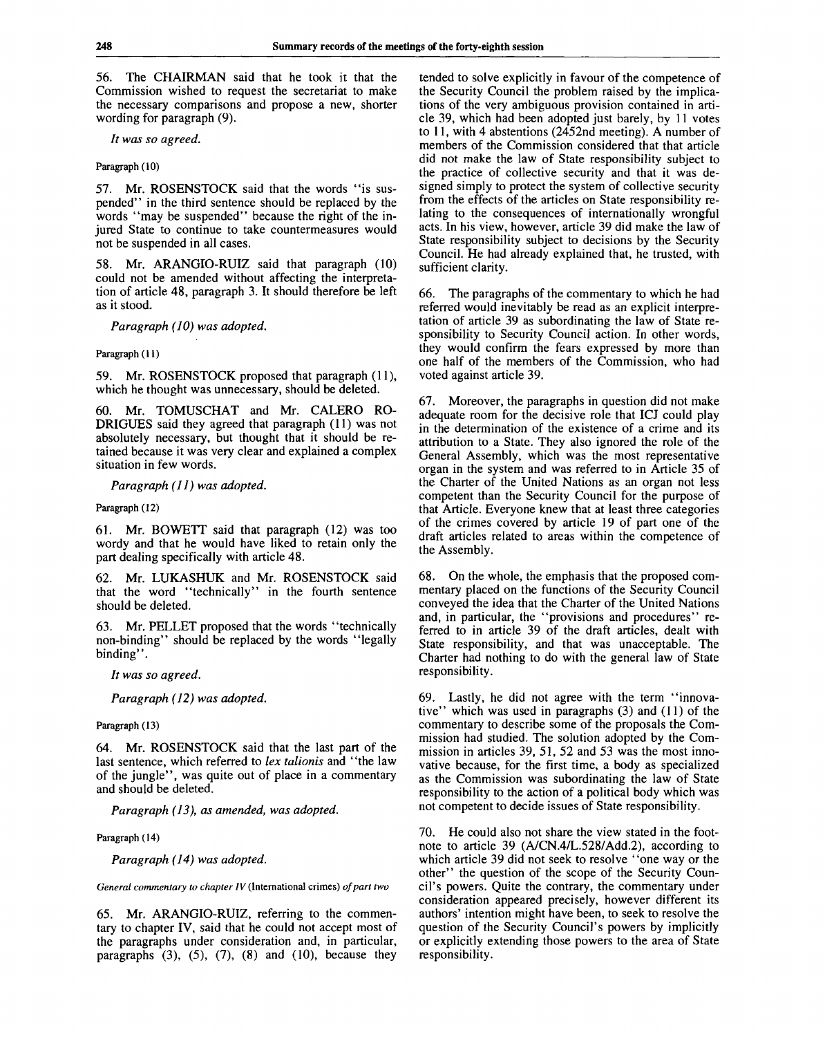56. The CHAIRMAN said that he took it that the Commission wished to request the secretariat to make the necessary comparisons and propose a new, shorter wording for paragraph (9).

*It was so agreed.*

#### Paragraph (10)

57. Mr. ROSENSTOCK said that the words "is suspended" in the third sentence should be replaced by the words "may be suspended" because the right of the injured State to continue to take countermeasures would not be suspended in all cases.

58. Mr. ARANGIO-RUIZ said that paragraph (10) could not be amended without affecting the interpretation of article 48, paragraph 3. It should therefore be left as it stood.

*Paragraph (10) was adopted.*

Paragraph (11)

59. Mr. ROSENSTOCK proposed that paragraph (11), which he thought was unnecessary, should be deleted.

Mr. TOMUSCHAT and Mr. CALERO RO-DRIGUES said they agreed that paragraph (11) was not absolutely necessary, but thought that it should be retained because it was very clear and explained a complex situation in few words.

*Paragraph (11) was adopted.*

Paragraph (12)

61. Mr. BOWETT said that paragraph (12) was too wordy and that he would have liked to retain only the part dealing specifically with article 48.

62. Mr. LUKASHUK and Mr. ROSENSTOCK said that the word "technically" in the fourth sentence should be deleted.

63. Mr. PELLET proposed that the words "technically non-binding" should be replaced by the words "legally binding".

*It was so agreed.*

*Paragraph (12) was adopted.*

Paragraph (13)

64. Mr. ROSENSTOCK said that the last part of the last sentence, which referred to *lex talionis* and "the law of the jungle", was quite out of place in a commentary and should be deleted.

*Paragraph (13), as amended, was adopted.*

Paragraph (14)

*Paragraph (14) was adopted.*

*General commentary to chapter IV* (International crimes) *of part two*

65. Mr. ARANGIO-RUIZ, referring to the commentary to chapter IV, said that he could not accept most of the paragraphs under consideration and, in particular, paragraphs  $(3)$ ,  $(5)$ ,  $(7)$ ,  $(8)$  and  $(10)$ , because they

tended to solve explicitly in favour of the competence of the Security Council the problem raised by the implications of the very ambiguous provision contained in article 39, which had been adopted just barely, by 11 votes to 11, with 4 abstentions (2452nd meeting). A number of members of the Commission considered that that article did not make the law of State responsibility subject to the practice of collective security and that it was designed simply to protect the system of collective security from the effects of the articles on State responsibility relating to the consequences of internationally wrongful acts. In his view, however, article 39 did make the law of State responsibility subject to decisions by the Security Council. He had already explained that, he trusted, with sufficient clarity.

66. The paragraphs of the commentary to which he had referred would inevitably be read as an explicit interpretation of article 39 as subordinating the law of State responsibility to Security Council action. In other words, they would confirm the fears expressed by more than one half of the members of the Commission, who had voted against article 39.

67. Moreover, the paragraphs in question did not make adequate room for the decisive role that ICJ could play in the determination of the existence of a crime and its attribution to a State. They also ignored the role of the General Assembly, which was the most representative organ in the system and was referred to in Article 35 of the Charter of the United Nations as an organ not less competent than the Security Council for the purpose of that Article. Everyone knew that at least three categories of the crimes covered by article 19 of part one of the draft articles related to areas within the competence of the Assembly.

68. On the whole, the emphasis that the proposed commentary placed on the functions of the Security Council conveyed the idea that the Charter of the United Nations and, in particular, the "provisions and procedures" referred to in article 39 of the draft articles, dealt with State responsibility, and that was unacceptable. The Charter had nothing to do with the general law of State responsibility.

69. Lastly, he did not agree with the term "innovative" which was used in paragraphs (3) and (11) of the commentary to describe some of the proposals the Commission had studied. The solution adopted by the Commission in articles 39, 51, 52 and 53 was the most innovative because, for the first time, a body as specialized as the Commission was subordinating the law of State responsibility to the action of a political body which was not competent to decide issues of State responsibility.

70. He could also not share the view stated in the footnote to article 39 (A/CN.4/L.528/Add.2), according to which article 39 did not seek to resolve "one way or the other" the question of the scope of the Security Council's powers. Quite the contrary, the commentary under consideration appeared precisely, however different its authors' intention might have been, to seek to resolve the question of the Security Council's powers by implicitly or explicitly extending those powers to the area of State responsibility.